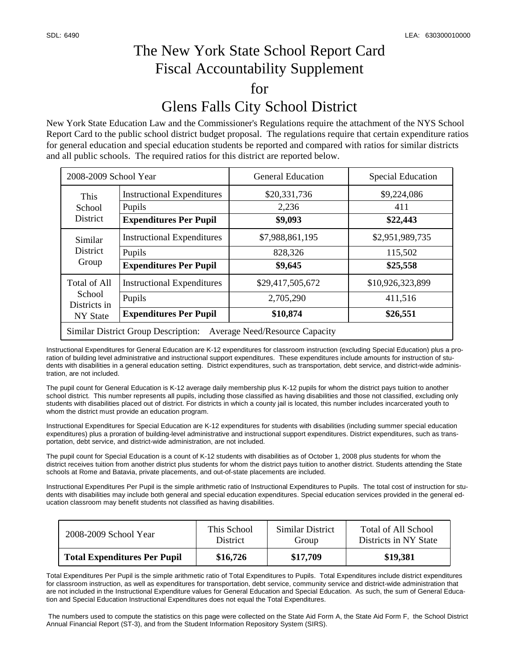## The New York State School Report Card Fiscal Accountability Supplement for Glens Falls City School District

New York State Education Law and the Commissioner's Regulations require the attachment of the NYS School Report Card to the public school district budget proposal. The regulations require that certain expenditure ratios for general education and special education students be reported and compared with ratios for similar districts and all public schools. The required ratios for this district are reported below.

| 2008-2009 School Year                                                               |                                                                              | <b>General Education</b>                  | <b>Special Education</b>                |  |  |  |
|-------------------------------------------------------------------------------------|------------------------------------------------------------------------------|-------------------------------------------|-----------------------------------------|--|--|--|
| This<br>School<br><b>District</b>                                                   | <b>Instructional Expenditures</b><br>Pupils<br><b>Expenditures Per Pupil</b> | \$20,331,736<br>2,236<br>\$9,093          | \$9,224,086<br>411<br>\$22,443          |  |  |  |
| Similar<br><b>District</b><br>Group                                                 | <b>Instructional Expenditures</b><br>Pupils<br><b>Expenditures Per Pupil</b> | \$7,988,861,195<br>828,326<br>\$9,645     | \$2,951,989,735<br>115,502<br>\$25,558  |  |  |  |
| Total of All<br>School<br>Districts in<br>NY State                                  | <b>Instructional Expenditures</b><br>Pupils<br><b>Expenditures Per Pupil</b> | \$29,417,505,672<br>2,705,290<br>\$10,874 | \$10,926,323,899<br>411,516<br>\$26,551 |  |  |  |
| <b>Similar District Group Description:</b><br><b>Average Need/Resource Capacity</b> |                                                                              |                                           |                                         |  |  |  |

Instructional Expenditures for General Education are K-12 expenditures for classroom instruction (excluding Special Education) plus a proration of building level administrative and instructional support expenditures. These expenditures include amounts for instruction of students with disabilities in a general education setting. District expenditures, such as transportation, debt service, and district-wide administration, are not included.

The pupil count for General Education is K-12 average daily membership plus K-12 pupils for whom the district pays tuition to another school district. This number represents all pupils, including those classified as having disabilities and those not classified, excluding only students with disabilities placed out of district. For districts in which a county jail is located, this number includes incarcerated youth to whom the district must provide an education program.

Instructional Expenditures for Special Education are K-12 expenditures for students with disabilities (including summer special education expenditures) plus a proration of building-level administrative and instructional support expenditures. District expenditures, such as transportation, debt service, and district-wide administration, are not included.

The pupil count for Special Education is a count of K-12 students with disabilities as of October 1, 2008 plus students for whom the district receives tuition from another district plus students for whom the district pays tuition to another district. Students attending the State schools at Rome and Batavia, private placements, and out-of-state placements are included.

Instructional Expenditures Per Pupil is the simple arithmetic ratio of Instructional Expenditures to Pupils. The total cost of instruction for students with disabilities may include both general and special education expenditures. Special education services provided in the general education classroom may benefit students not classified as having disabilities.

| 2008-2009 School Year               | This School     | Similar District | Total of All School   |
|-------------------------------------|-----------------|------------------|-----------------------|
|                                     | <b>District</b> | Group            | Districts in NY State |
| <b>Total Expenditures Per Pupil</b> | \$16,726        | \$17.709         | \$19,381              |

Total Expenditures Per Pupil is the simple arithmetic ratio of Total Expenditures to Pupils. Total Expenditures include district expenditures for classroom instruction, as well as expenditures for transportation, debt service, community service and district-wide administration that are not included in the Instructional Expenditure values for General Education and Special Education. As such, the sum of General Education and Special Education Instructional Expenditures does not equal the Total Expenditures.

 The numbers used to compute the statistics on this page were collected on the State Aid Form A, the State Aid Form F, the School District Annual Financial Report (ST-3), and from the Student Information Repository System (SIRS).